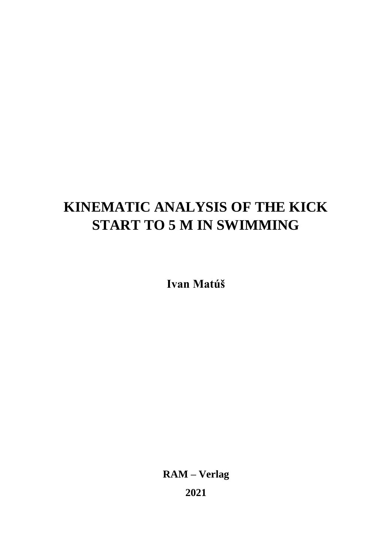# **KINEMATIC ANALYSIS OF THE KICK START TO 5 M IN SWIMMING**

**Ivan Matúš**

**RAM – Verlag 2021**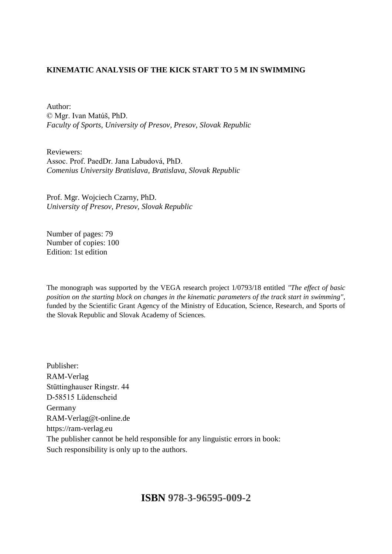### **KINEMATIC ANALYSIS OF THE KICK START TO 5 M IN SWIMMING**

Author: © Mgr. Ivan Matúš, PhD. *Faculty of Sports, University of Presov, Presov, Slovak Republic*

Reviewers: Assoc. Prof. PaedDr. Jana Labudová, PhD. *Comenius University Bratislava, Bratislava, Slovak Republic*

Prof. Mgr. Wojciech Czarny, PhD. *University of Presov, Presov, Slovak Republic*

Number of pages: 79 Number of copies: 100 Edition: 1st edition

The monograph was supported by the VEGA research project 1/0793/18 entitled *"The effect of basic position on the starting block on changes in the kinematic parameters of the track start in swimming"*, funded by the Scientific Grant Agency of the Ministry of Education, Science, Research, and Sports of the Slovak Republic and Slovak Academy of Sciences.

Publisher: RAM-Verlag Stüttinghauser Ringstr. 44 D-58515 Lüdenscheid Germany RAM-Verlag@t-online.de https://ram-verlag.eu The publisher cannot be held responsible for any linguistic errors in book: Such responsibility is only up to the authors.

## **ISBN 978-3-96595-009-2**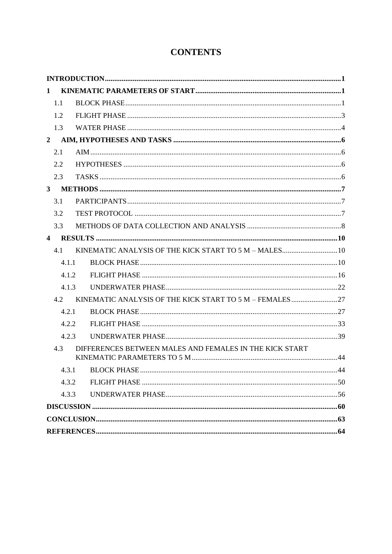## **CONTENTS**

| 1                                                              |  |
|----------------------------------------------------------------|--|
| 1.1                                                            |  |
| 1.2                                                            |  |
| 1.3                                                            |  |
| $\overline{2}$                                                 |  |
| 2.1                                                            |  |
| 2.2                                                            |  |
| 2.3                                                            |  |
|                                                                |  |
| 3.1                                                            |  |
| 3.2                                                            |  |
| 3.3                                                            |  |
|                                                                |  |
| KINEMATIC ANALYSIS OF THE KICK START TO 5 M - MALES 10<br>4.1  |  |
| 4.1.1                                                          |  |
| 4.1.2                                                          |  |
| 4.1.3                                                          |  |
| 4.2                                                            |  |
| 4.2.1                                                          |  |
| 4.2.2                                                          |  |
| 4.2.3                                                          |  |
| DIFFERENCES BETWEEN MALES AND FEMALES IN THE KICK START<br>4.3 |  |
|                                                                |  |
| 4.3.2                                                          |  |
| 4.3.3                                                          |  |
|                                                                |  |
|                                                                |  |
|                                                                |  |